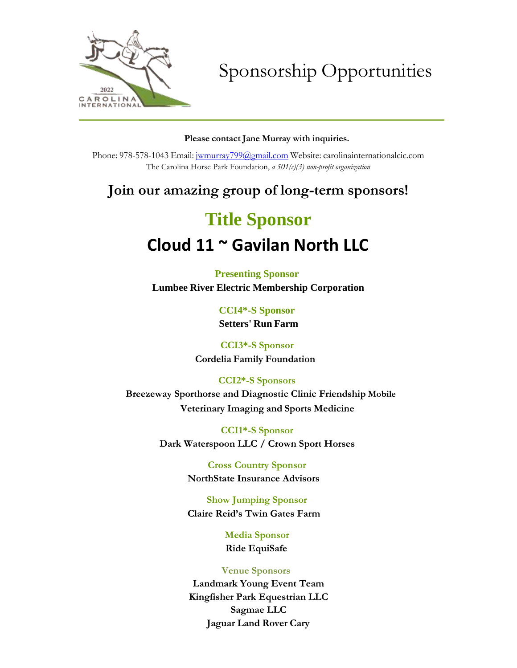

Sponsorship Opportunities

### **Please contact Jane Murray with inquiries.**

Phone: 978-578-1043 Email: [jwmurray799@gmail.com](mailto:jwmurray799@gmail.com) Website: carolinainternationalcic.com The Carolina Horse Park Foundation, *a 501(c)(3) non-profit organization*

# **Join our amazing group of long-term sponsors!**

# **Title Sponsor**

# **Cloud 11 ~ Gavilan North LLC**

**Presenting Sponsor Lumbee River Electric Membership Corporation**

> **CCI4\*-S Sponsor Setters' Run Farm**

**CCI3\*-S Sponsor Cordelia Family Foundation** 

**CCI2\*-S Sponsors**

**Breezeway Sporthorse and Diagnostic Clinic Friendship Mobile Veterinary Imaging and Sports Medicine**

> **CCI1\*-S Sponsor Dark Waterspoon LLC / Crown Sport Horses**

> > **Cross Country Sponsor NorthState Insurance Advisors**

**Show Jumping Sponsor Claire Reid's Twin Gates Farm**

> **Media Sponsor Ride EquiSafe**

## **Venue Sponsors**

**Landmark Young Event Team Kingfisher Park Equestrian LLC Sagmae LLC Jaguar Land Rover Cary**